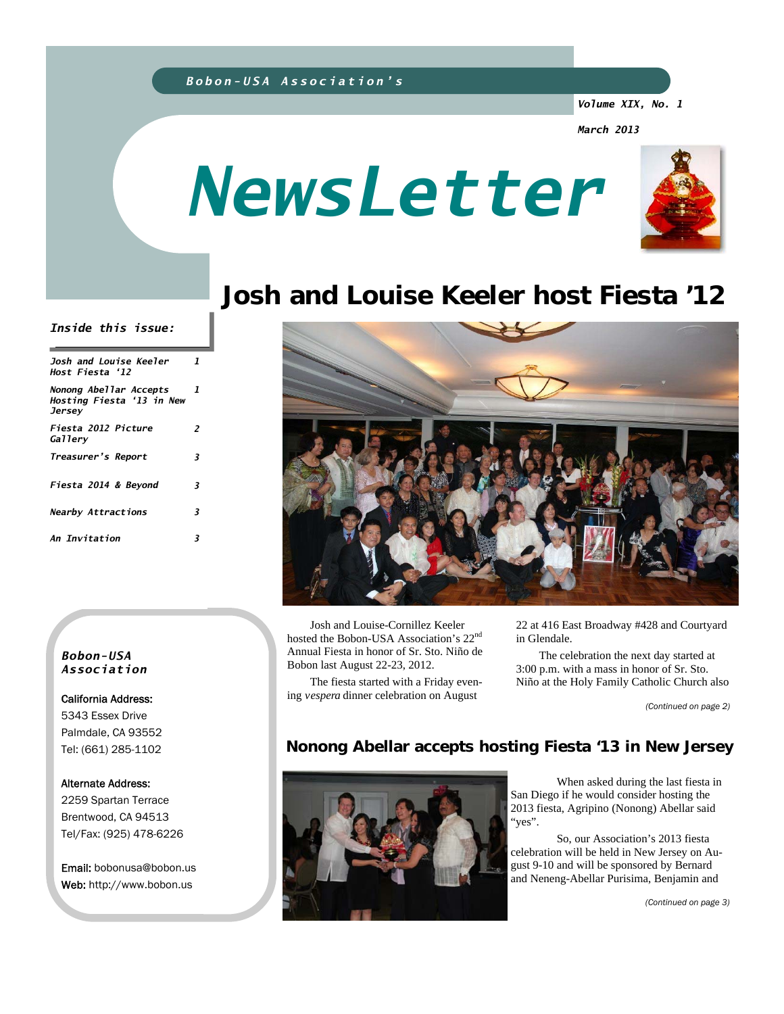### *Bobon-USA Association's*

*Volume XIX, No. 1* 

*March 2013* 





# **Josh and Louise Keeler host Fiesta '12**

#### *Inside this issue:*

| Josh and Louise Keeler<br>Host Fiesta '12                     | 1  |
|---------------------------------------------------------------|----|
| Nonong Abellar Accepts<br>Hosting Fiesta '13 in New<br>Jersey | -7 |
| Fiesta 2012 Picture<br>Gallerv                                | 2  |
| Treasurer's Report                                            | 3  |
| Fiesta 2014 & Beyond                                          | 3  |
| <b>Nearby Attractions</b>                                     | 3  |
| An Invitation                                                 | 3  |

#### *Bobon-USA Association*

California Address: 5343 Essex Drive Palmdale, CA 93552 Tel: (661) 285-1102

#### Alternate Address:

2259 Spartan Terrace Brentwood, CA 94513 Tel/Fax: (925) 478-6226

Email: bobonusa@bobon.us Web: http://www.bobon.us



 Josh and Louise-Cornillez Keeler hosted the Bobon-USA Association's 22nd Annual Fiesta in honor of Sr. Sto. Niño de Bobon last August 22-23, 2012.

 The fiesta started with a Friday evening *vespera* dinner celebration on August

22 at 416 East Broadway #428 and Courtyard in Glendale.

The celebration the next day started at 3:00 p.m. with a mass in honor of Sr. Sto. Niño at the Holy Family Catholic Church also

*(Continued on page 2)* 

## **Nonong Abellar accepts hosting Fiesta '13 in New Jersey**



 When asked during the last fiesta in San Diego if he would consider hosting the 2013 fiesta, Agripino (Nonong) Abellar said "yes".

 So, our Association's 2013 fiesta celebration will be held in New Jersey on August 9-10 and will be sponsored by Bernard and Neneng-Abellar Purisima, Benjamin and

*(Continued on page 3)*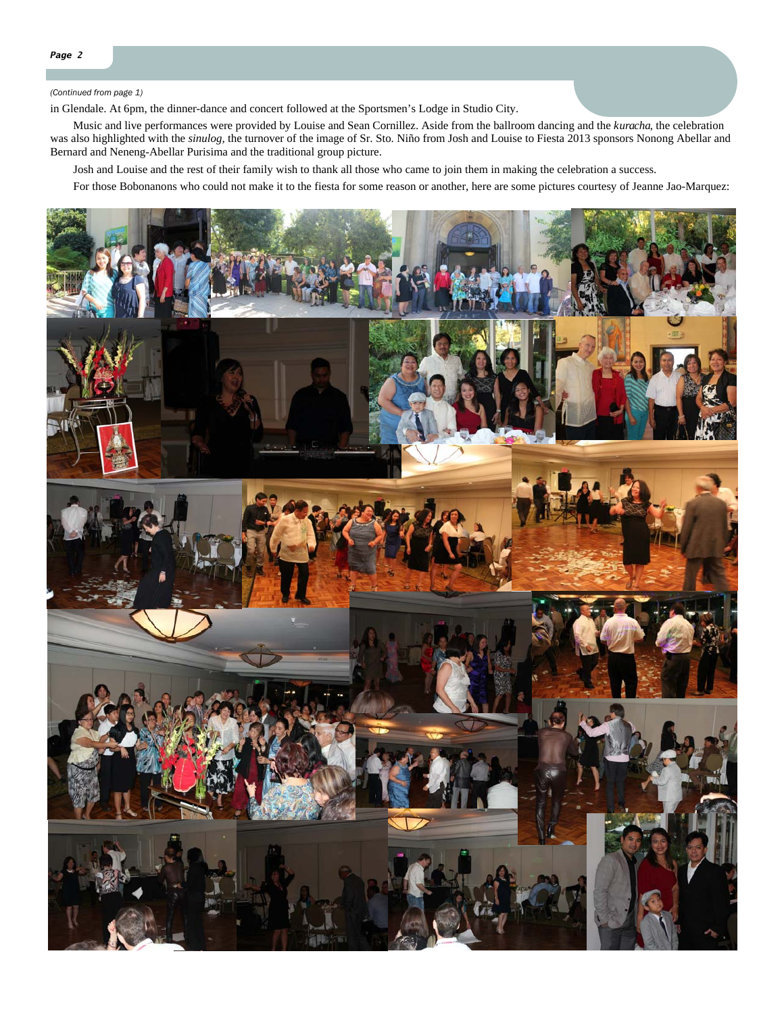#### *(Continued from page 1)*

in Glendale. At 6pm, the dinner-dance and concert followed at the Sportsmen's Lodge in Studio City.

 Music and live performances were provided by Louise and Sean Cornillez. Aside from the ballroom dancing and the *kuracha*, the celebration was also highlighted with the *sinulog,* the turnover of the image of Sr. Sto. Niño from Josh and Louise to Fiesta 2013 sponsors Nonong Abellar and Bernard and Neneng-Abellar Purisima and the traditional group picture.

Josh and Louise and the rest of their family wish to thank all those who came to join them in making the celebration a success.

For those Bobonanons who could not make it to the fiesta for some reason or another, here are some pictures courtesy of Jeanne Jao-Marquez:

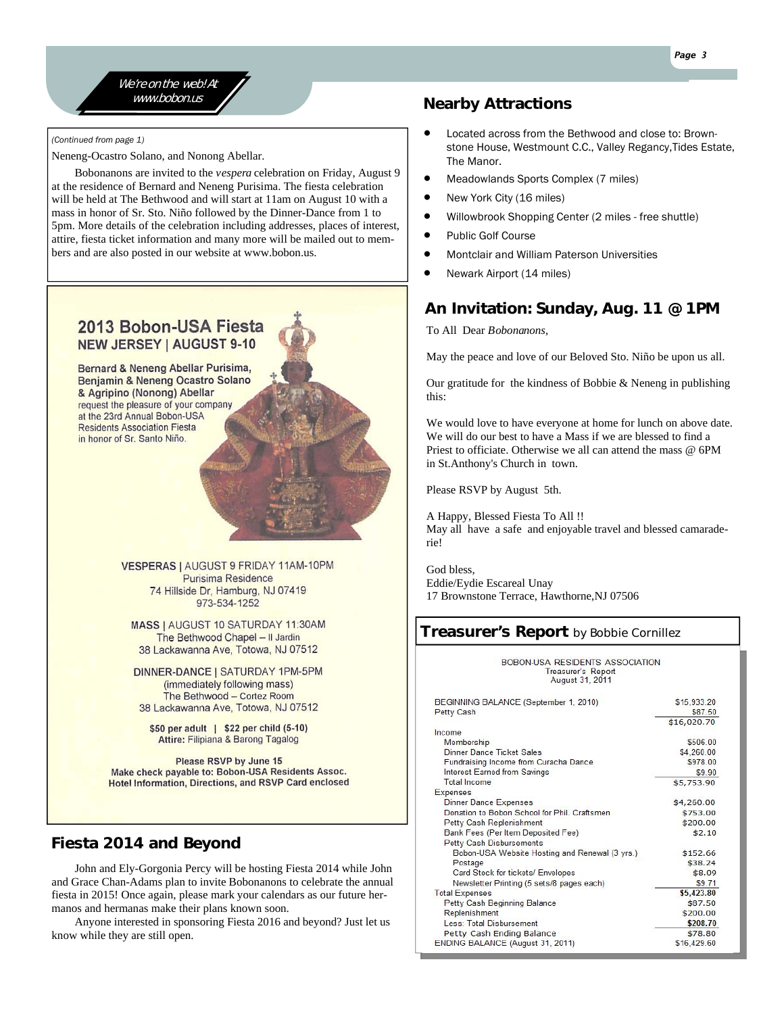#### We're on the web! At www.bobon.us

*(Continued from page 1)* 

Neneng-Ocastro Solano, and Nonong Abellar.

 Bobonanons are invited to the *vespera* celebration on Friday, August 9 at the residence of Bernard and Neneng Purisima. The fiesta celebration will be held at The Bethwood and will start at 11am on August 10 with a mass in honor of Sr. Sto. Niño followed by the Dinner-Dance from 1 to 5pm. More details of the celebration including addresses, places of interest, attire, fiesta ticket information and many more will be mailed out to members and are also posted in our website at www.bobon.us.

## 2013 Bobon-USA Fiesta **NEW JERSEY | AUGUST 9-10**

Bernard & Neneng Abellar Purisima, Benjamin & Neneng Ocastro Solano & Agripino (Nonong) Abellar request the pleasure of your company at the 23rd Annual Bobon-USA **Residents Association Fiesta** in honor of Sr. Santo Niño.

> VESPERAS | AUGUST 9 FRIDAY 11AM-10PM Purisima Residence 74 Hillside Dr, Hamburg, NJ 07419 973-534-1252

MASS | AUGUST 10 SATURDAY 11:30AM The Bethwood Chapel - Il Jardin 38 Lackawanna Ave, Totowa, NJ 07512

DINNER-DANCE | SATURDAY 1PM-5PM (immediately following mass) The Bethwood - Cortez Room 38 Lackawanna Ave, Totowa, NJ 07512

\$50 per adult | \$22 per child (5-10) Attire: Filipiana & Barong Tagalog

**Please RSVP by June 15** Make check payable to: Bobon-USA Residents Assoc. **Hotel Information, Directions, and RSVP Card enclosed** 

## **Fiesta 2014 and Beyond**

 John and Ely-Gorgonia Percy will be hosting Fiesta 2014 while John and Grace Chan-Adams plan to invite Bobonanons to celebrate the annual fiesta in 2015! Once again, please mark your calendars as our future hermanos and hermanas make their plans known soon.

 Anyone interested in sponsoring Fiesta 2016 and beyond? Just let us know while they are still open.

## **Nearby Attractions**

- Located across from the Bethwood and close to: Brownstone House, Westmount C.C., Valley Regancy,Tides Estate, The Manor.
- Meadowlands Sports Complex (7 miles)
- New York City (16 miles)
- Willowbrook Shopping Center (2 miles free shuttle)
- Public Golf Course
- Montclair and William Paterson Universities
- Newark Airport (14 miles)

## **An Invitation: Sunday, Aug. 11 @ 1PM**

To All Dear *Bobonanons*,

May the peace and love of our Beloved Sto. Niño be upon us all.

Our gratitude for the kindness of Bobbie & Neneng in publishing this:

We would love to have everyone at home for lunch on above date. We will do our best to have a Mass if we are blessed to find a Priest to officiate. Otherwise we all can attend the mass @ 6PM in St.Anthony's Church in town.

Please RSVP by August 5th.

A Happy, Blessed Fiesta To All !! May all have a safe and enjoyable travel and blessed camaraderie!

God bless, Eddie/Eydie Escareal Unay 17 Brownstone Terrace, Hawthorne,NJ 07506

## **Treasurer's Report** by Bobbie Cornillez

#### **BOBON-USA RESIDENTS ASSOCIATION** Treasurer's Report<br>August 31, 2011

| BEGINNING BALANCE (September 1, 2010)<br>Petty Cash | \$15,933.20<br>\$87.50 |
|-----------------------------------------------------|------------------------|
|                                                     | \$16,020.70            |
| Income                                              |                        |
| Membership                                          | \$506.00               |
| Dinner Dance Ticket Sales                           | \$4,260.00             |
| Fundraising Income from Curacha Dance               | \$978.00               |
| Interest Earned from Savings                        | \$9.90                 |
| Total Income                                        | \$5,753.90             |
| <b>Expenses</b>                                     |                        |
| <b>Dinner Dance Expenses</b>                        | \$4,260.00             |
| Donation to Bobon School for Phil. Craftsmen        | \$753.00               |
| Petty Cash Replenishment                            | \$200.00               |
| Bank Fees (Per Item Deposited Fee)                  | \$2.10                 |
| Petty Cash Disbursements                            |                        |
| Bobon-USA Website Hosting and Renewal (3 yrs.)      | \$152.66               |
| Postage                                             | \$38.24                |
| Card Stock for tickets/ Envelopes                   | \$8.09                 |
| Newsletter Printing (5 sets/8 pages each)           | \$9.71                 |
| <b>Total Expenses</b>                               | \$5,423.80             |
| Petty Cash Beginning Balance                        | \$87.50                |
| Replenishment                                       | \$200.00               |
| Less: Total Disbursement                            | \$208.70               |
| Petty Cash Ending Balance                           | \$78.80                |
| ENDING BALANCE (August 31, 2011)                    | \$16,429.60            |